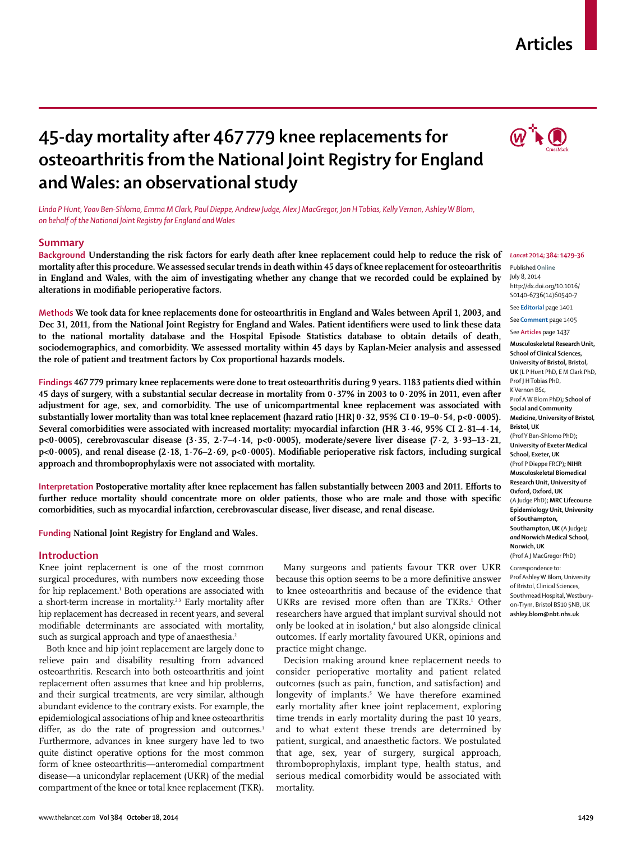## **Articles**

# **45-day mortality after 467 779 knee replacements for osteoarthritis from the National Joint Registry for England and Wales: an observational study**

*Linda P Hunt, Yoav Ben-Shlomo, Emma M Clark, Paul Dieppe, Andrew Judge, Alex J MacGregor, Jon H Tobias, Kelly Vernon, Ashley W Blom, on behalf of the National Joint Registry for England and Wales*

## **Summary**

**Background Understanding the risk factors for early death after knee replacement could help to reduce the risk of mortality after this procedure. We assessed secular trends in death within 45 days of knee replacement for osteoarthritis in England and Wales, with the aim of investigating whether any change that we recorded could be explained by**  alterations in modifiable perioperative factors.

**Methods We took data for knee replacements done for osteoarthritis in England and Wales between April 1, 2003, and**  Dec 31, 2011, from the National Joint Registry for England and Wales. Patient identifiers were used to link these data **to the national mortality database and the Hospital Episode Statistics database to obtain details of death, sociodemographics, and comorbidity. We assessed mortality within 45 days by Kaplan-Meier analysis and assessed the role of patient and treatment factors by Cox proportional hazards models.**

**Findings 467 779 primary knee replacements were done to treat osteoarthritis during 9 years. 1183 patients died within 45 days of surgery, with a substantial secular decrease in mortality from 0·37% in 2003 to 0·20% in 2011, even after adjustment for age, sex, and comorbidity. The use of unicompartmental knee replacement was associated with substantially lower mortality than was total knee replacement (hazard ratio [HR] 0·32, 95% CI 0·19–0·54, p<0·0005). Several comorbidities were associated with increased mortality: myocardial infarction (HR 3·46, 95% CI 2·81–4·14, p<0·0005), cerebrovascular disease (3·35, 2·7–4·14, p<0·0005), moderate/severe liver disease (7·2, 3·93–13·21,**  p<0·0005), and renal disease (2·18, 1·76-2·69, p<0·0005). Modifiable perioperative risk factors, including surgical **approach and thromboprophylaxis were not associated with mortality.**

Interpretation Postoperative mortality after knee replacement has fallen substantially between 2003 and 2011. Efforts to further reduce mortality should concentrate more on older patients, those who are male and those with specific **comorbidities, such as myocardial infarction, cerebrovascular disease, liver disease, and renal disease.**

**Funding National Joint Registry for England and Wales.**

### **Introduction**

Knee joint replacement is one of the most common surgical procedures, with numbers now exceeding those for hip replacement.<sup>1</sup> Both operations are associated with a short-term increase in mortality.<sup>2,3</sup> Early mortality after hip replacement has decreased in recent years, and several modifiable determinants are associated with mortality, such as surgical approach and type of anaesthesia.<sup>2</sup>

Both knee and hip joint replacement are largely done to relieve pain and disability resulting from advanced osteoarthritis. Research into both osteoarthritis and joint replacement often assumes that knee and hip problems, and their surgical treatments, are very similar, although abundant evidence to the contrary exists. For example, the epidemiological associations of hip and knee osteoarthritis differ, as do the rate of progression and outcomes.<sup>1</sup> Furthermore, advances in knee surgery have led to two quite distinct operative options for the most common form of knee osteoarthritis—anteromedial compartment disease—a unicondylar replacement (UKR) of the medial compartment of the knee or total knee replacement (TKR).

Many surgeons and patients favour TKR over UKR because this option seems to be a more definitive answer to knee osteoarthritis and because of the evidence that UKRs are revised more often than are TKRs.<sup>1</sup> Other researchers have argued that implant survival should not only be looked at in isolation,<sup>4</sup> but also alongside clinical outcomes. If early mortality favoured UKR, opinions and practice might change.

Decision making around knee replacement needs to consider perioperative mortality and patient related outcomes (such as pain, function, and satisfaction) and longevity of implants.<sup>5</sup> We have therefore examined early mortality after knee joint replacement, exploring time trends in early mortality during the past 10 years, and to what extent these trends are determined by patient, surgical, and anaesthetic factors. We postulated that age, sex, year of surgery, surgical approach, thromboprophylaxis, implant type, health status, and serious medical comorbidity would be associated with mortality.



#### *Lancet* **2014; 384: 1429–36** Published **Online**

July 8, 2014 http://dx.doi.org/10.1016/ S0140-6736(14)60540-7

See **Editorial** page 1401

See **Comment** page 1405

See **Articles** page 1437

**Musculoskeletal Research Unit, School of Clinical Sciences, University of Bristol, Bristol, UK** (L P Hunt PhD, E M Clark PhD, Prof J H Tobias PhD, K Vernon BSc, Prof A W Blom PhD)**; School of Social and Community Medicine, University of Bristol***,*  **Bristol, UK** (Prof Y Ben-Shlomo PhD)**; University of Exeter Medical School, Exeter, UK**  (Prof P Dieppe FRCP)**; NIHR Musculoskeletal Biomedical Research Unit, University of Oxford, Oxford, UK**  (A Judge PhD)**; MRC Lifecourse Epidemiology Unit, University of Southampton, Southampton, UK** (A Judge)*; and* **Norwich Medical School, Norwich, UK** (Prof A J MacGregor PhD)

Correspondence to: Prof Ashley W Blom, University of Bristol, Clinical Sciences, Southmead Hospital, Westburyon-Trym, Bristol BS10 5NB, UK **ashley.blom@nbt.nhs.uk**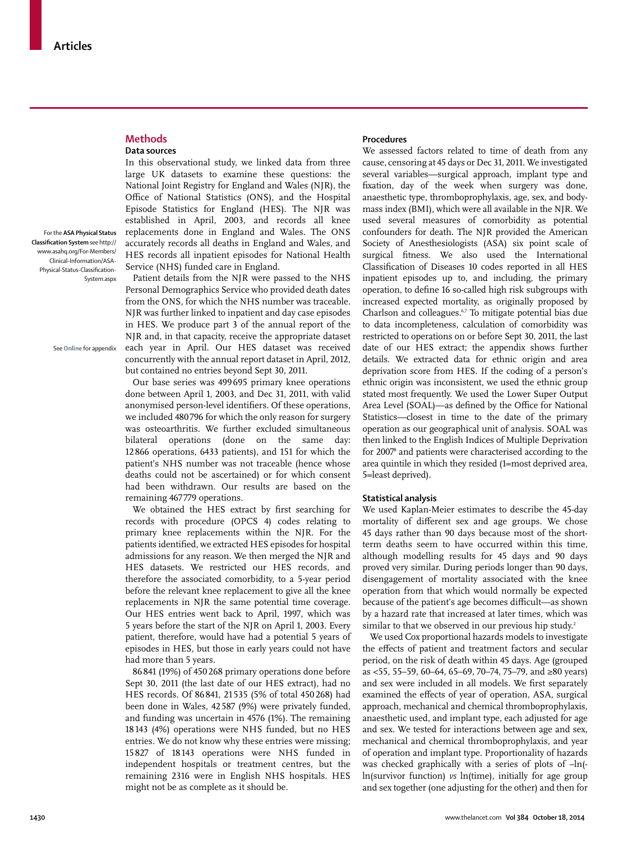## For the **ASA Physical Status Classifi cation System** see http:// www.asahq.org/For-Members/ Clinical-Information/ASA-Physical-Status-Classification-

System.aspx

**Methods Data sources** 

See **Online** for appendix

In this observational study, we linked data from three large UK datasets to examine these questions: the National Joint Registry for England and Wales (NJR), the Office of National Statistics (ONS), and the Hospital Episode Statistics for England (HES). The NJR was established in April, 2003, and records all knee replacements done in England and Wales. The ONS accurately records all deaths in England and Wales, and HES records all inpatient episodes for National Health Service (NHS) funded care in England.

Patient details from the NJR were passed to the NHS Personal Demographics Service who provided death dates from the ONS, for which the NHS number was traceable. NJR was further linked to inpatient and day case episodes in HES. We produce part 3 of the annual report of the NJR and, in that capacity, receive the appropriate dataset each year in April. Our HES dataset was received concurrently with the annual report dataset in April, 2012, but contained no entries beyond Sept 30, 2011.

Our base series was 499 695 primary knee operations done between April 1, 2003, and Dec 31, 2011, with valid anonymised person-level identifiers. Of these operations, we included 480 796 for which the only reason for surgery was osteoarthritis. We further excluded simultaneous bilateral operations (done on the same day: 12 866 operations, 6433 patients), and 151 for which the patient's NHS number was not traceable (hence whose deaths could not be ascertained) or for which consent had been withdrawn. Our results are based on the remaining 467 779 operations.

We obtained the HES extract by first searching for records with procedure (OPCS 4) codes relating to primary knee replacements within the NJR. For the patients identified, we extracted HES episodes for hospital admissions for any reason. We then merged the NJR and HES datasets. We restricted our HES records, and therefore the associated comorbidity, to a 5-year period before the relevant knee replacement to give all the knee replacements in NJR the same potential time coverage. Our HES entries went back to April, 1997, which was 5 years before the start of the NJR on April 1, 2003. Every patient, therefore, would have had a potential 5 years of episodes in HES, but those in early years could not have had more than 5 years.

86 841 (19%) of 450 268 primary operations done before Sept 30, 2011 (the last date of our HES extract), had no HES records. Of 86 841, 21 535 (5% of total 450 268) had been done in Wales, 42 587 (9%) were privately funded, and funding was uncertain in 4576 (1%). The remaining 18 143 (4%) operations were NHS funded, but no HES entries. We do not know why these entries were missing; 15 827 of 18 143 operations were NHS funded in independent hospitals or treatment centres, but the remaining 2316 were in English NHS hospitals. HES might not be as complete as it should be.

#### **Procedures**

We assessed factors related to time of death from any cause, censoring at 45 days or Dec 31, 2011. We investigated several variables—surgical approach, implant type and fixation, day of the week when surgery was done, anaesthetic type, thromboprophylaxis, age, sex, and bodymass index (BMI), which were all available in the NJR. We used several measures of comorbidity as potential confounders for death. The NJR provided the American Society of Anesthesiologists (ASA) six point scale of surgical fitness. We also used the International Classification of Diseases 10 codes reported in all HES inpatient episodes up to, and including, the primary operation, to define 16 so-called high risk subgroups with increased expected mortality, as originally proposed by Charlson and colleagues.6,7 To mitigate potential bias due to data incompleteness, calculation of comorbidity was restricted to operations on or before Sept 30, 2011, the last date of our HES extract; the appendix shows further details. We extracted data for ethnic origin and area deprivation score from HES. If the coding of a person's ethnic origin was inconsistent, we used the ethnic group stated most frequently. We used the Lower Super Output Area Level (SOAL)-as defined by the Office for National Statistics—closest in time to the date of the primary operation as our geographical unit of analysis. SOAL was then linked to the English Indices of Multiple Deprivation for 20078 and patients were characterised according to the area quintile in which they resided (1=most deprived area, 5=least deprived).

#### **Statistical analysis**

We used Kaplan-Meier estimates to describe the 45-day mortality of different sex and age groups. We chose 45 days rather than 90 days because most of the shortterm deaths seem to have occurred within this time, although modelling results for 45 days and 90 days proved very similar. During periods longer than 90 days, disengagement of mortality associated with the knee operation from that which would normally be expected because of the patient's age becomes difficult—as shown by a hazard rate that increased at later times, which was similar to that we observed in our previous hip study.<sup>2</sup>

We used Cox proportional hazards models to investigate the effects of patient and treatment factors and secular period, on the risk of death within 45 days. Age (grouped as <55, 55–59, 60–64, 65–69, 70–74, 75–79, and ≥80 years) and sex were included in all models. We first separately examined the effects of year of operation, ASA, surgical approach, mechanical and chemical thromboprophylaxis, anaesthetic used, and implant type, each adjusted for age and sex. We tested for interactions between age and sex, mechanical and chemical thromboprophylaxis, and year of operation and implant type. Proportionality of hazards was checked graphically with a series of plots of –ln( ln(survivor function) *vs* ln(time), initially for age group and sex together (one adjusting for the other) and then for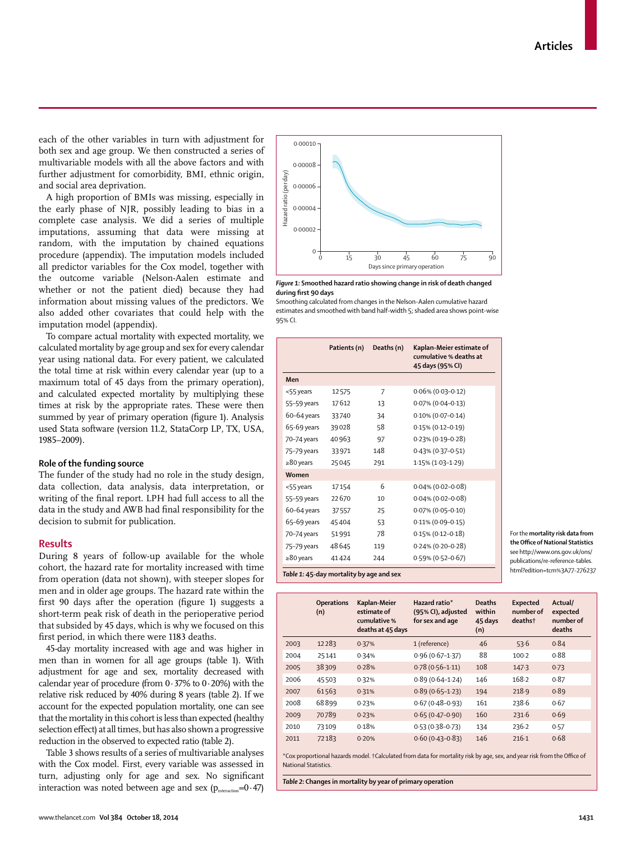each of the other variables in turn with adjustment for both sex and age group. We then constructed a series of multivariable models with all the above factors and with further adjustment for comorbidity, BMI, ethnic origin, and social area deprivation.

A high proportion of BMIs was missing, especially in the early phase of NJR, possibly leading to bias in a complete case analysis. We did a series of multiple imputations, assuming that data were missing at random, with the imputation by chained equations procedure (appendix). The imputation models included all predictor variables for the Cox model, together with the outcome variable (Nelson-Aalen estimate and whether or not the patient died) because they had information about missing values of the predictors. We also added other covariates that could help with the imputation model (appendix).

To compare actual mortality with expected mortality, we calculated mortality by age group and sex for every calendar year using national data. For every patient, we calculated the total time at risk within every calendar year (up to a maximum total of 45 days from the primary operation), and calculated expected mortality by multiplying these times at risk by the appropriate rates. These were then summed by year of primary operation (figure 1). Analysis used Stata software (version 11.2, StataCorp LP, TX, USA, 1985–2009).

## **Role of the funding source**

The funder of the study had no role in the study design, data collection, data analysis, data interpretation, or writing of the final report. LPH had full access to all the data in the study and AWB had final responsibility for the decision to submit for publication.

## **Results**

During 8 years of follow-up available for the whole cohort, the hazard rate for mortality increased with time from operation (data not shown), with steeper slopes for men and in older age groups. The hazard rate within the first 90 days after the operation (figure 1) suggests a short-term peak risk of death in the perioperative period that subsided by 45 days, which is why we focused on this first period, in which there were 1183 deaths.

45-day mortality increased with age and was higher in men than in women for all age groups (table 1). With adjustment for age and sex, mortality decreased with calendar year of procedure (from  $0.37\%$  to  $0.20\%$ ) with the relative risk reduced by 40% during 8 years (table 2). If we account for the expected population mortality, one can see that the mortality in this cohort is less than expected (healthy selection effect) at all times, but has also shown a progressive reduction in the observed to expected ratio (table 2).

Table 3 shows results of a series of multivariable analyses with the Cox model. First, every variable was assessed in turn, adjusting only for age and sex. No significant interaction was noted between age and sex  $(p_{interaction}=0.47)$ 



*Figure 1:* **Smoothed hazard ratio showing change in risk of death changed during fi rst 90 days**

Smoothing calculated from changes in the Nelson-Aalen cumulative hazard estimates and smoothed with band half-width 5; shaded area shows point-wise 95% CI.

|                 | Patients (n) | Deaths (n)     | Kaplan-Meier estimate of<br>cumulative % deaths at<br>45 days (95% CI) |
|-----------------|--------------|----------------|------------------------------------------------------------------------|
| Men             |              |                |                                                                        |
| <55 years       | 12575        | $\overline{7}$ | $0.06\%$ (0.03-0.12)                                                   |
| 55-59 years     | 17612        | 13             | $0.07\%$ (0.04-0.13)                                                   |
| 60-64 years     | 33740        | 34             | $0.10\%$ (0.07-0.14)                                                   |
| 65-69 years     | 39028        | 58             | $0.15\%$ (0.12-0.19)                                                   |
| 70-74 years     | 40963        | 97             | $0.23\%$ (0.19-0.28)                                                   |
| 75-79 years     | 33971        | 148            | $0.43\%$ (0.37-0.51)                                                   |
| $\geq 80$ years | 25045        | 291            | 1.15% (1.03-1.29)                                                      |
| Women           |              |                |                                                                        |
| <55 years       | 17154        | 6              | $0.04\%$ (0.02-0.08)                                                   |
| 55-59 years     | 22670        | 10             | $0.04\%$ (0.02-0.08)                                                   |
| 60-64 years     | 37557        | 25             | $0.07\%$ (0.05-0.10)                                                   |
| 65-69 years     | 45404        | 53             | $0.11\% (0.09 - 0.15)$                                                 |
| 70-74 years     | 51991        | 78             | $0.15\%$ (0.12-0.18)                                                   |
| 75-79 years     | 48645        | 119            | $0.24\%$ (0.20-0.28)                                                   |
| $\geq 80$ years | 41424        | 244            | 0.59% (0.52-0.67)                                                      |

For the **mortality risk data from the Office of National Statistics** see http://www.ons.gov.uk/ons/ publications/re-reference-tables. html?edition=tcm%3A77-276237

*Table 1:* **45-day mortality by age and sex**

|      | <b>Operations</b><br>(n) | Kaplan-Meier<br>estimate of<br>cumulative %<br>deaths at 45 days | Hazard ratio*<br>(95% CI), adjusted<br>for sex and age | <b>Deaths</b><br>within<br>45 days<br>(n) | <b>Expected</b><br>number of<br>deaths† | Actual/<br>expected<br>number of<br>deaths |
|------|--------------------------|------------------------------------------------------------------|--------------------------------------------------------|-------------------------------------------|-----------------------------------------|--------------------------------------------|
| 2003 | 12283                    | 0.37%                                                            | 1 (reference)                                          | 46                                        | 53.6                                    | 0.84                                       |
| 2004 | 25141                    | 0.34%                                                            | $0.96(0.67 - 1.37)$                                    | 88                                        | $100-2$                                 | 0.88                                       |
| 2005 | 38309                    | 0.28%                                                            | $0.78(0.56 - 1.11)$                                    | 108                                       | 147.3                                   | 0.73                                       |
| 2006 | 45503                    | 0.32%                                                            | $0.89(0.64 - 1.24)$                                    | 146                                       | 168.2                                   | 0.87                                       |
| 2007 | 61563                    | 0.31%                                                            | $0.89(0.65 - 1.23)$                                    | 194                                       | 218.9                                   | 0.89                                       |
| 2008 | 68899                    | 0.23%                                                            | $0.67(0.48 - 0.93)$                                    | 161                                       | 238.6                                   | 0.67                                       |
| 2009 | 70789                    | 0.23%                                                            | $0.65(0.47-0.90)$                                      | 160                                       | 231.6                                   | 0.69                                       |
| 2010 | 73109                    | 0.18%                                                            | $0.53(0.38 - 0.73)$                                    | 134                                       | 236.2                                   | 0.57                                       |
| 2011 | 72183                    | 0.20%                                                            | $0.60(0.43 - 0.83)$                                    | 146                                       | 216-1                                   | 0.68                                       |

\*Cox proportional hazards model. †Calculated from data for mortality risk by age, sex, and year risk from the Office of National Statistics.

*Table 2:* **Changes in mortality by year of primary operation**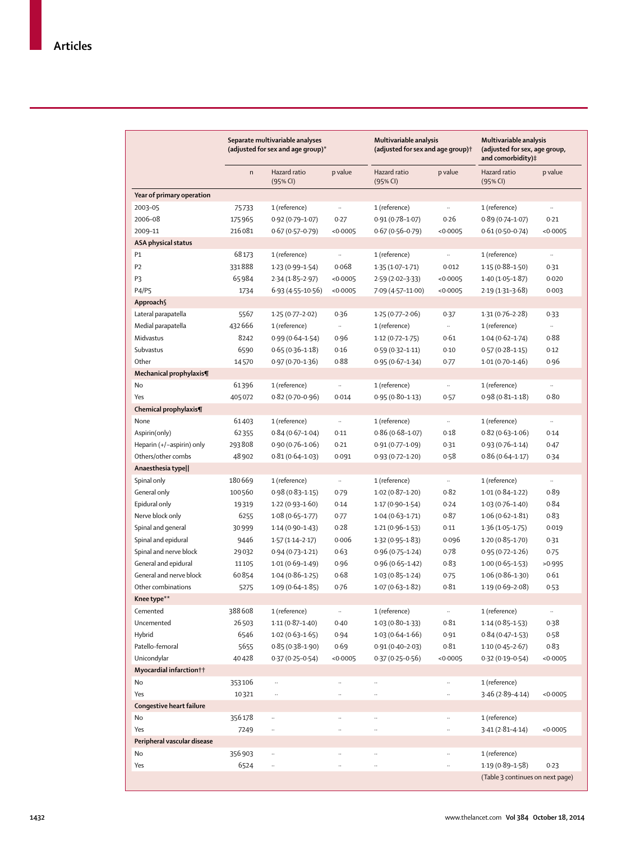|                             | Separate multivariable analyses<br>(adjusted for sex and age group)* |                          | Multivariable analysis<br>(adjusted for sex and age group) <sup>†</sup> |                          | Multivariable analysis<br>(adjusted for sex, age group,<br>and comorbidity)# |                                  |                     |
|-----------------------------|----------------------------------------------------------------------|--------------------------|-------------------------------------------------------------------------|--------------------------|------------------------------------------------------------------------------|----------------------------------|---------------------|
|                             | $\mathsf{n}$                                                         | Hazard ratio<br>(95% CI) | p value                                                                 | Hazard ratio<br>(95% CI) | p value                                                                      | Hazard ratio<br>(95% CI)         | p value             |
| Year of primary operation   |                                                                      |                          |                                                                         |                          |                                                                              |                                  |                     |
| 2003-05                     | 75733                                                                | 1 (reference)            | $\ldots$                                                                | 1 (reference)            | $\ldots$                                                                     | 1 (reference)                    | $\bar{\mathcal{A}}$ |
| 2006-08                     | 175965                                                               | $0.92(0.79 - 1.07)$      | 0.27                                                                    | $0.91(0.78 - 1.07)$      | 0.26                                                                         | $0.89(0.74 - 1.07)$              | 0.21                |
| 2009-11                     | 216081                                                               | $0.67(0.57-0.79)$        | <0.0005                                                                 | $0.67(0.56 - 0.79)$      | <0.0005                                                                      | $0.61(0.50 - 0.74)$              | <0.0005             |
| <b>ASA physical status</b>  |                                                                      |                          |                                                                         |                          |                                                                              |                                  |                     |
| P1                          | 68173                                                                | 1 (reference)            |                                                                         | 1 (reference)            |                                                                              | 1 (reference)                    | $\ldots$            |
| P <sub>2</sub>              | 331888                                                               | $1.23(0.99 - 1.54)$      | 0.068                                                                   | $1.35(1.07 - 1.71)$      | 0.012                                                                        | $1.15(0.88 - 1.50)$              | 0.31                |
| P3                          | 65984                                                                | $2.34(1.85-2.97)$        | <0.0005                                                                 | $2.59(2.02-3.33)$        | <0.0005                                                                      | $1.40(1.05-1.87)$                | 0.020               |
| <b>P4/P5</b>                |                                                                      | $6.93(4.55 - 10.56)$     | <0.0005                                                                 |                          | <0.0005                                                                      | $2.19(1.31-3.68)$                | 0.003               |
|                             | 1734                                                                 |                          |                                                                         | 7.09 (4.57-11.00)        |                                                                              |                                  |                     |
| Approach                    |                                                                      |                          |                                                                         |                          |                                                                              |                                  |                     |
| Lateral parapatella         | 5567                                                                 | $1.25(0.77 - 2.02)$      | 0.36                                                                    | $1.25(0.77-2.06)$        | 0.37                                                                         | $1.31(0.76 - 2.28)$              | 0.33                |
| Medial parapatella          | 432666                                                               | 1 (reference)            | $\sim$                                                                  | 1 (reference)            | $\ddot{\phantom{a}}$                                                         | 1 (reference)                    | $\cdots$            |
| Midvastus                   | 8242                                                                 | $0.99(0.64 - 1.54)$      | 0.96                                                                    | $1.12(0.72 - 1.75)$      | 0.61                                                                         | $1.04(0.62 - 1.74)$              | 0.88                |
| Subvastus                   | 6590                                                                 | $0.65(0.36 - 1.18)$      | 0.16                                                                    | $0.59(0.32 - 1.11)$      | 0.10                                                                         | $0.57(0.28 - 1.15)$              | 0.12                |
| Other                       | 14570                                                                | $0.97(0.70 - 1.36)$      | 0.88                                                                    | $0.95(0.67 - 1.34)$      | 0.77                                                                         | $1.01(0.70 - 1.46)$              | 0.96                |
| Mechanical prophylaxis¶     |                                                                      |                          |                                                                         |                          |                                                                              |                                  |                     |
| No                          | 61396                                                                | 1 (reference)            | $\ldots$                                                                | 1 (reference)            | $\ddotsc$                                                                    | 1 (reference)                    | $\ddotsc$           |
| Yes                         | 405072                                                               | $0.82(0.70-0.96)$        | 0.014                                                                   | $0.95(0.80 - 1.13)$      | 0.57                                                                         | $0.98(0.81 - 1.18)$              | 0.80                |
| Chemical prophylaxis¶       |                                                                      |                          |                                                                         |                          |                                                                              |                                  |                     |
| None                        | 61403                                                                | 1 (reference)            | $\ldots$                                                                | 1 (reference)            | $\ddotsc$                                                                    | 1 (reference)                    | $\cdots$            |
| Aspirin(only)               | 62355                                                                | $0.84(0.67 - 1.04)$      | 0.11                                                                    | $0.86(0.68 - 1.07)$      | 0.18                                                                         | $0.82(0.63 - 1.06)$              | 0.14                |
| Heparin (+/-aspirin) only   | 293808                                                               | $0.90(0.76 - 1.06)$      | 0.21                                                                    | $0.91(0.77 - 1.09)$      | 0.31                                                                         | $0.93(0.76 - 1.14)$              | 0.47                |
| Others/other combs          | 48 902                                                               | $0.81(0.64 - 1.03)$      | 0.091                                                                   | $0.93(0.72 - 1.20)$      | 0.58                                                                         | $0.86(0.64 - 1.17)$              | 0.34                |
| Anaesthesia type            |                                                                      |                          |                                                                         |                          |                                                                              |                                  |                     |
| Spinal only                 | 180669                                                               | 1 (reference)            | $\ldots$                                                                | 1 (reference)            | $\ddotsc$                                                                    | 1 (reference)                    | $\ldots$            |
| General only                | 100560                                                               | $0.98(0.83 - 1.15)$      | 0.79                                                                    | $1.02(0.87 - 1.20)$      | 0.82                                                                         | $1.01(0.84 - 1.22)$              | 0.89                |
| Epidural only               | 19319                                                                | $1.22(0.93 - 1.60)$      | 0.14                                                                    | $1.17(0.90 - 1.54)$      | 0.24                                                                         | $1.03(0.76 - 1.40)$              | 0.84                |
| Nerve block only            | 6255                                                                 | $1.08(0.65 - 1.77)$      | 0.77                                                                    | $1.04(0.63 - 1.71)$      | 0.87                                                                         | $1.06(0.62 - 1.81)$              | 0.83                |
| Spinal and general          | 30999                                                                | $1.14(0.90 - 1.43)$      | 0.28                                                                    | $1.21(0.96 - 1.53)$      | 0.11                                                                         | $1.36(1.05-1.75)$                | 0.019               |
| Spinal and epidural         | 9446                                                                 | $1.57(1.14 - 2.17)$      | 0.006                                                                   | $1.32(0.95 - 1.83)$      | 0.096                                                                        | $1.20(0.85 - 1.70)$              | 0.31                |
| Spinal and nerve block      | 29032                                                                | $0.94(0.73 - 1.21)$      | 0.63                                                                    | $0.96(0.75 - 1.24)$      | 0.78                                                                         | $0.95(0.72 - 1.26)$              | 0.75                |
| General and epidural        | 11105                                                                | $1.01(0.69 - 1.49)$      | 0.96                                                                    | $0.96(0.65 - 1.42)$      | 0.83                                                                         | $1.00(0.65 - 1.53)$              | >0.995              |
| General and nerve block     | 60854                                                                | $1.04(0.86 - 1.25)$      | 0.68                                                                    | $1.03(0.85 - 1.24)$      | 0.75                                                                         | $1.06(0.86 - 1.30)$              | 0.61                |
| Other combinations          |                                                                      |                          |                                                                         |                          | 0.81                                                                         |                                  |                     |
|                             | 5275                                                                 | $1.09(0.64 - 1.85)$      | 0.76                                                                    | $1.07(0.63 - 1.82)$      |                                                                              | $1.19(0.69 - 2.08)$              | 0.53                |
| Knee type**                 |                                                                      |                          |                                                                         |                          |                                                                              |                                  |                     |
| Cemented                    | 388608                                                               | 1 (reference)            | $\ldots$                                                                | 1 (reference)            | $\ldots$                                                                     | 1 (reference)                    | $\ldots$            |
| Uncemented                  | 26503                                                                | $1.11(0.87 - 1.40)$      | 0.40                                                                    | $1.03(0.80 - 1.33)$      | 0.81                                                                         | $1.14(0.85 - 1.53)$              | 0.38                |
| Hybrid                      | 6546                                                                 | $1.02(0.63 - 1.65)$      | 0.94                                                                    | $1.03(0.64 - 1.66)$      | 0.91                                                                         | $0.84(0.47 - 1.53)$              | 0.58                |
| Patello-femoral             | 5655                                                                 | $0.85(0.38 - 1.90)$      | 0.69                                                                    | $0.91(0.40 - 2.03)$      | 0.81                                                                         | $1.10(0.45 - 2.67)$              | 0.83                |
| Unicondylar                 | 40428                                                                | $0.37(0.25 - 0.54)$      | <0.0005                                                                 | $0.37(0.25 - 0.56)$      | <0.0005                                                                      | $0.32(0.19 - 0.54)$              | < 0.0005            |
| Myocardial infarction††     |                                                                      |                          |                                                                         |                          |                                                                              |                                  |                     |
| No                          | 353106                                                               |                          |                                                                         |                          |                                                                              | 1 (reference)                    |                     |
| Yes                         | 10321                                                                | $\ldots$                 | $\ldots$                                                                | $\ldots$                 | $\cdots$                                                                     | $3.46(2.89 - 4.14)$              | <0.0005             |
| Congestive heart failure    |                                                                      |                          |                                                                         |                          |                                                                              |                                  |                     |
| No                          | 356178                                                               |                          | $\ldots$                                                                | $\ddotsc$                | $\ldots$                                                                     | 1 (reference)                    |                     |
| Yes                         | 7249                                                                 | $\cdot\cdot$             | $\ddot{\phantom{a}}$                                                    | $\ddot{\phantom{a}}$     | $\ldots$                                                                     | $3.41(2.81 - 4.14)$              | <0.0005             |
| Peripheral vascular disease |                                                                      |                          |                                                                         |                          |                                                                              |                                  |                     |
| No                          | 356903                                                               | $\ldots$                 |                                                                         | $\ddot{\phantom{a}}$     |                                                                              | 1 (reference)                    |                     |
| Yes                         | 6524                                                                 | $\cdot\cdot$             |                                                                         |                          |                                                                              | $1.19(0.89 - 1.58)$              | 0.23                |
|                             |                                                                      |                          |                                                                         |                          |                                                                              | (Table 3 continues on next page) |                     |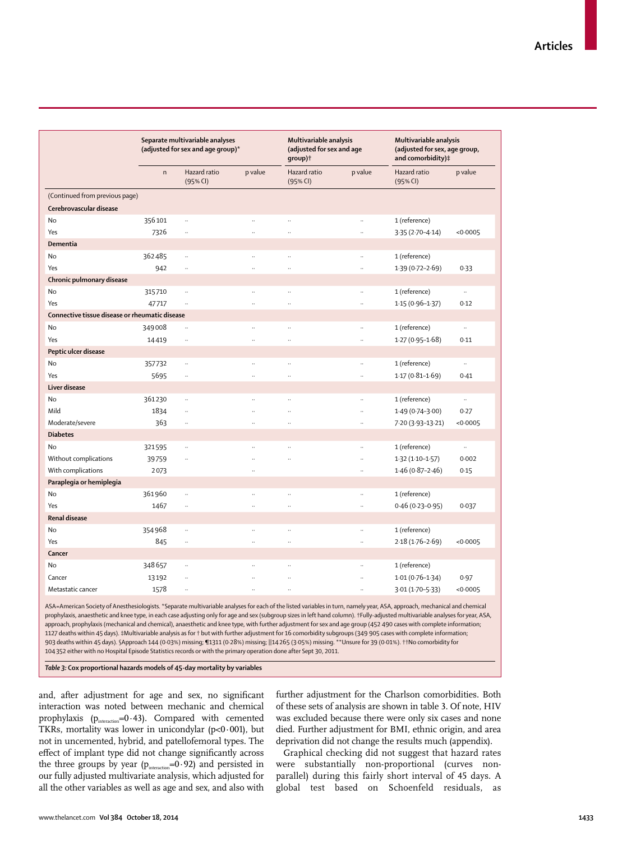|                                                |              | Separate multivariable analyses<br>(adjusted for sex and age group)* |                      |                            | Multivariable analysis<br>(adjusted for sex and age<br>group) <sup>†</sup> |                          | Multivariable analysis<br>(adjusted for sex, age group,<br>and comorbidity)# |  |
|------------------------------------------------|--------------|----------------------------------------------------------------------|----------------------|----------------------------|----------------------------------------------------------------------------|--------------------------|------------------------------------------------------------------------------|--|
|                                                | $\mathsf{n}$ | Hazard ratio<br>(95% CI)                                             | p value              | Hazard ratio<br>$(95%$ CI) | p value                                                                    | Hazard ratio<br>(95% CI) | p value                                                                      |  |
| (Continued from previous page)                 |              |                                                                      |                      |                            |                                                                            |                          |                                                                              |  |
| Cerebrovascular disease                        |              |                                                                      |                      |                            |                                                                            |                          |                                                                              |  |
| No                                             | 356101       | $\ddotsc$                                                            | $\ddot{\phantom{a}}$ |                            | $\ddotsc$                                                                  | 1 (reference)            |                                                                              |  |
| Yes                                            | 7326         | $\ddotsc$                                                            |                      |                            |                                                                            | $3.35(2.70 - 4.14)$      | < 0.0005                                                                     |  |
| Dementia                                       |              |                                                                      |                      |                            |                                                                            |                          |                                                                              |  |
| No                                             | 362485       | $\ddot{\phantom{0}}$                                                 | $\ddotsc$            |                            | $\ddotsc$                                                                  | 1 (reference)            |                                                                              |  |
| Yes                                            | 942          | $\ddot{\phantom{a}}$                                                 | $\ddotsc$            | $\ddotsc$                  | $\ddots$                                                                   | $1.39(0.72 - 2.69)$      | 0.33                                                                         |  |
| Chronic pulmonary disease                      |              |                                                                      |                      |                            |                                                                            |                          |                                                                              |  |
| No                                             | 315710       | $\ddotsc$                                                            | $\ddotsc$            |                            | $\ddotsc$                                                                  | 1 (reference)            |                                                                              |  |
| Yes                                            | 47717        | $\ddot{\phantom{a}}$                                                 | $\ddotsc$            |                            | $\ddot{\phantom{a}}$                                                       | $1.15(0.96 - 1.37)$      | 0.12                                                                         |  |
| Connective tissue disease or rheumatic disease |              |                                                                      |                      |                            |                                                                            |                          |                                                                              |  |
| No                                             | 349008       | $\ddot{\phantom{a}}$                                                 |                      |                            |                                                                            | 1 (reference)            | $\ddotsc$                                                                    |  |
| Yes                                            | 14419        | $\ddotsc$                                                            | $\ddotsc$            | $\ddotsc$                  | $\ddotsc$                                                                  | $1.27(0.95 - 1.68)$      | 0.11                                                                         |  |
| Peptic ulcer disease                           |              |                                                                      |                      |                            |                                                                            |                          |                                                                              |  |
| No                                             | 357732       | $\ddotsc$                                                            | $\ddotsc$            |                            | $\ddotsc$                                                                  | 1 (reference)            | $\ldots$                                                                     |  |
| Yes                                            | 5695         | $\ldots$                                                             | $\ddotsc$            |                            | $\ddot{\phantom{a}}$                                                       | $1.17(0.81 - 1.69)$      | 0.41                                                                         |  |
| Liver disease                                  |              |                                                                      |                      |                            |                                                                            |                          |                                                                              |  |
| No                                             | 361230       | $\ddotsc$                                                            | $\ddotsc$            |                            | $\ddotsc$                                                                  | 1 (reference)            | $\ldots$                                                                     |  |
| Mild                                           | 1834         | $\ddotsc$                                                            |                      |                            | $\ddotsc$                                                                  | $1.49(0.74 - 3.00)$      | 0.27                                                                         |  |
| Moderate/severe                                | 363          | $\ddotsc$                                                            | $\ddotsc$            |                            | $\ddot{\phantom{a}}$                                                       | 7.20 (3.93-13.21)        | <0.0005                                                                      |  |
| <b>Diabetes</b>                                |              |                                                                      |                      |                            |                                                                            |                          |                                                                              |  |
| No                                             | 321595       | $\ddot{\phantom{a}}$                                                 |                      |                            |                                                                            | 1 (reference)            |                                                                              |  |
| Without complications                          | 39759        | $\ddot{\phantom{a}}$                                                 |                      |                            | $\ddot{\phantom{a}}$                                                       | $1.32(1.10-1.57)$        | 0.002                                                                        |  |
| With complications                             | 2073         |                                                                      | $\ddot{\phantom{0}}$ |                            | $\ddotsc$                                                                  | $1.46(0.87 - 2.46)$      | 0.15                                                                         |  |
| Paraplegia or hemiplegia                       |              |                                                                      |                      |                            |                                                                            |                          |                                                                              |  |
| No                                             | 361960       |                                                                      | $\ddot{\phantom{a}}$ |                            | $\ddot{\phantom{a}}$                                                       | 1 (reference)            |                                                                              |  |
| Yes                                            | 1467         | $\ddot{\phantom{a}}$                                                 | $\ddot{\phantom{a}}$ |                            | $\ddot{\phantom{a}}$                                                       | $0.46(0.23 - 0.95)$      | 0.037                                                                        |  |
| <b>Renal disease</b>                           |              |                                                                      |                      |                            |                                                                            |                          |                                                                              |  |
| No                                             | 354968       | $\ldots$                                                             | $\ddotsc$            | .,                         | $\ddotsc$                                                                  | 1 (reference)            |                                                                              |  |
| Yes                                            | 845          | $\ddot{\phantom{a}}$                                                 | .,                   |                            |                                                                            | $2.18(1.76 - 2.69)$      | < 0.0005                                                                     |  |
| Cancer                                         |              |                                                                      |                      |                            |                                                                            |                          |                                                                              |  |
| No                                             | 348657       | $\ddot{\phantom{0}}$                                                 |                      |                            | $\ddot{\phantom{a}}$                                                       | 1 (reference)            |                                                                              |  |
| Cancer                                         | 13192        | $\ddotsc$                                                            |                      | .,                         | $\ddotsc$                                                                  | $1.01(0.76 - 1.34)$      | 0.97                                                                         |  |
| Metastatic cancer                              |              | .,                                                                   |                      |                            |                                                                            |                          | < 0.0005                                                                     |  |
|                                                | 1578         |                                                                      |                      |                            |                                                                            | $3.01(1.70 - 5.33)$      |                                                                              |  |

prophylaxis, anaesthetic and knee type, in each case adjusting only for age and sex (subgroup sizes in left hand column). †Fully-adjusted multivariable analyses for year, ASA, approach, prophylaxis (mechanical and chemical), anaesthetic and knee type, with further adjustment for sex and age group (452 490 cases with complete information; 1127 deaths within 45 days). ‡Multivariable analysis as for † but with further adjustment for 16 comorbidity subgroups (349 905 cases with complete information; 903 deaths within 45 days). §Approach 144 (0·03%) missing; ¶1311 (0·28%) missing; ||14 265 (3·05%) missing. \*\*Unsure for 39 (0·01%). ††No comorbidity for 104 352 either with no Hospital Episode Statistics records or with the primary operation done after Sept 30, 2011.

*Table 3:* **Cox proportional hazards models of 45-day mortality by variables**

and, after adjustment for age and sex, no significant interaction was noted between mechanic and chemical prophylaxis ( $p_{\text{interaction}}$ =0·43). Compared with cemented TKRs, mortality was lower in unicondylar ( $p$ <0·001), but not in uncemented, hybrid, and patellofemoral types. The effect of implant type did not change significantly across the three groups by year ( $p_{interaction} = 0.92$ ) and persisted in our fully adjusted multivariate analysis, which adjusted for all the other variables as well as age and sex, and also with further adjustment for the Charlson comorbidities. Both of these sets of analysis are shown in table 3. Of note, HIV was excluded because there were only six cases and none died. Further adjustment for BMI, ethnic origin, and area deprivation did not change the results much (appendix).

Graphical checking did not suggest that hazard rates were substantially non-proportional (curves nonparallel) during this fairly short interval of 45 days. A global test based on Schoenfeld residuals, as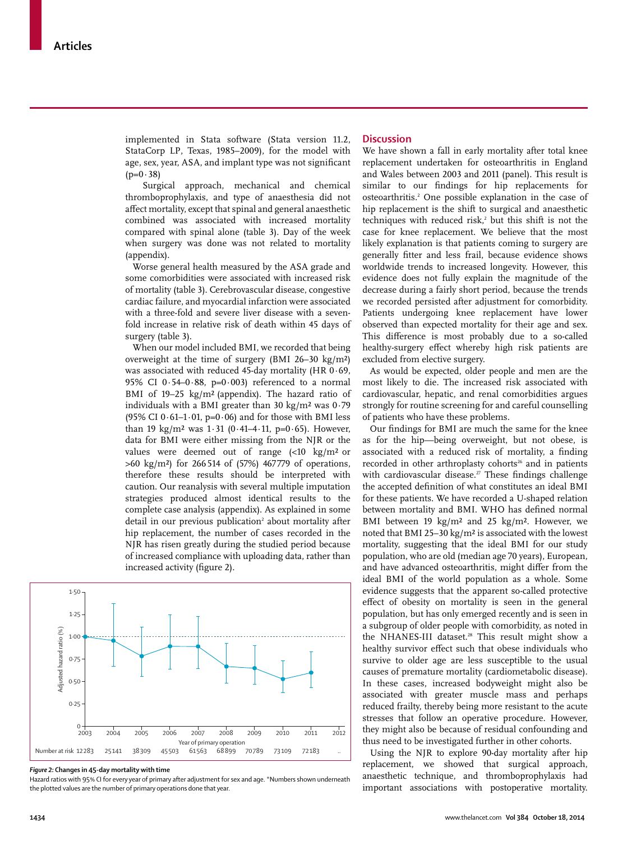implemented in Stata software (Stata version 11.2, StataCorp LP, Texas, 1985–2009), for the model with age, sex, year, ASA, and implant type was not significant  $(p=0.38)$ 

 Surgical approach, mechanical and chemical thromboprophylaxis, and type of anaesthesia did not affect mortality, except that spinal and general anaesthetic combined was associated with increased mortality compared with spinal alone (table 3). Day of the week when surgery was done was not related to mortality (appendix).

Worse general health measured by the ASA grade and some comorbidities were associated with increased risk of mortality (table 3). Cerebrovascular disease, congestive cardiac failure, and myocardial infarction were associated with a three-fold and severe liver disease with a sevenfold increase in relative risk of death within 45 days of surgery (table 3).

When our model included BMI, we recorded that being overweight at the time of surgery (BMI 26–30 kg/m²) was associated with reduced 45-day mortality (HR 0·69, 95% CI 0 $-54-0.88$ , p=0 $-0.003$ ) referenced to a normal BMI of 19–25 kg/m² (appendix). The hazard ratio of individuals with a BMI greater than 30 kg/m<sup>2</sup> was  $0.79$ (95% CI  $0.61-1.01$ , p= $0.06$ ) and for those with BMI less than 19 kg/m<sup>2</sup> was  $1.31$  (0.41–4.11, p=0.65). However, data for BMI were either missing from the NJR or the values were deemed out of range (<10 kg/m² or  $>60 \text{ kg/m}^2$ ) for 266 514 of (57%) 467779 of operations, therefore these results should be interpreted with caution. Our reanalysis with several multiple imputation strategies produced almost identical results to the complete case analysis (appendix). As explained in some detail in our previous publication<sup>2</sup> about mortality after hip replacement, the number of cases recorded in the NJR has risen greatly during the studied period because of increased compliance with uploading data, rather than increased activity (figure 2).



#### *Figure 2:* **Changes in 45-day mortality with time**

Hazard ratios with 95% CI for every year of primary after adjustment for sex and age. \*Numbers shown underneath the plotted values are the number of primary operations done that year.

#### **Discussion**

We have shown a fall in early mortality after total knee replacement undertaken for osteoarthritis in England and Wales between 2003 and 2011 (panel). This result is similar to our findings for hip replacements for osteoarthritis.2 One possible explanation in the case of hip replacement is the shift to surgical and anaesthetic techniques with reduced risk, $\lambda$  but this shift is not the case for knee replacement. We believe that the most likely explanation is that patients coming to surgery are generally fitter and less frail, because evidence shows worldwide trends to increased longevity. However, this evidence does not fully explain the magnitude of the decrease during a fairly short period, because the trends we recorded persisted after adjustment for comorbidity. Patients undergoing knee replacement have lower observed than expected mortality for their age and sex. This difference is most probably due to a so-called healthy-surgery effect whereby high risk patients are excluded from elective surgery.

As would be expected, older people and men are the most likely to die. The increased risk associated with cardiovascular, hepatic, and renal comorbidities argues strongly for routine screening for and careful counselling of patients who have these problems.

Our findings for BMI are much the same for the knee as for the hip—being overweight, but not obese, is associated with a reduced risk of mortality, a finding recorded in other arthroplasty cohorts<sup>26</sup> and in patients with cardiovascular disease.<sup>27</sup> These findings challenge the accepted definition of what constitutes an ideal BMI for these patients. We have recorded a U-shaped relation between mortality and BMI. WHO has defined normal BMI between 19 kg/m² and 25 kg/m². However, we noted that BMI 25–30 kg/m² is associated with the lowest mortality, suggesting that the ideal BMI for our study population, who are old (median age 70 years), European, and have advanced osteoarthritis, might differ from the ideal BMI of the world population as a whole. Some evidence suggests that the apparent so-called protective effect of obesity on mortality is seen in the general population, but has only emerged recently and is seen in a subgroup of older people with comorbidity, as noted in the NHANES-III dataset.<sup>28</sup> This result might show a healthy survivor effect such that obese individuals who survive to older age are less susceptible to the usual causes of premature mortality (cardiometabolic disease). In these cases, increased bodyweight might also be associated with greater muscle mass and perhaps reduced frailty, thereby being more resistant to the acute stresses that follow an operative procedure. However, they might also be because of residual confounding and thus need to be investigated further in other cohorts.

Using the NJR to explore 90-day mortality after hip replacement, we showed that surgical approach, anaesthetic technique, and thromboprophylaxis had important associations with postoperative mortality.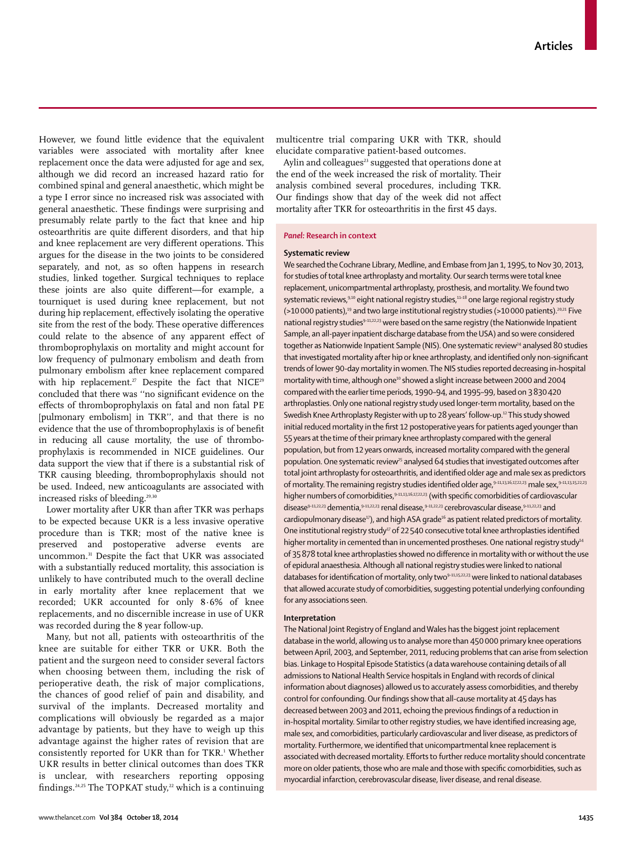However, we found little evidence that the equivalent variables were associated with mortality after knee replacement once the data were adjusted for age and sex, although we did record an increased hazard ratio for combined spinal and general anaesthetic, which might be a type I error since no increased risk was associated with general anaesthetic. These findings were surprising and presumably relate partly to the fact that knee and hip osteoarthritis are quite different disorders, and that hip and knee replacement are very different operations. This argues for the disease in the two joints to be considered separately, and not, as so often happens in research studies, linked together. Surgical techniques to replace these joints are also quite different—for example, a tourniquet is used during knee replacement, but not during hip replacement, effectively isolating the operative site from the rest of the body. These operative differences could relate to the absence of any apparent effect of thromboprophylaxis on mortality and might account for low frequency of pulmonary embolism and death from pulmonary embolism after knee replacement compared with hip replacement.<sup>27</sup> Despite the fact that NICE<sup>29</sup> concluded that there was "no significant evidence on the effects of thromboprophylaxis on fatal and non fatal PE [pulmonary embolism] in TKR'', and that there is no evidence that the use of thromboprophylaxis is of benefit in reducing all cause mortality, the use of thromboprophylaxis is recommended in NICE guidelines. Our data support the view that if there is a substantial risk of TKR causing bleeding, thromboprophylaxis should not be used. Indeed, new anticoagulants are associated with increased risks of bleeding.<sup>29,30</sup>

Lower mortality after UKR than after TKR was perhaps to be expected because UKR is a less invasive operative procedure than is TKR; most of the native knee is preserved and postoperative adverse events are uncommon.31 Despite the fact that UKR was associated with a substantially reduced mortality, this association is unlikely to have contributed much to the overall decline in early mortality after knee replacement that we recorded; UKR accounted for only 8·6% of knee replacements, and no discernible increase in use of UKR was recorded during the 8 year follow-up.

Many, but not all, patients with osteoarthritis of the knee are suitable for either TKR or UKR. Both the patient and the surgeon need to consider several factors when choosing between them, including the risk of perioperative death, the risk of major complications, the chances of good relief of pain and disability, and survival of the implants. Decreased mortality and complications will obviously be regarded as a major advantage by patients, but they have to weigh up this advantage against the higher rates of revision that are consistently reported for UKR than for TKR.1 Whether UKR results in better clinical outcomes than does TKR is unclear, with researchers reporting opposing findings.<sup>24,25</sup> The TOPKAT study,<sup>22</sup> which is a continuing

multicentre trial comparing UKR with TKR, should elucidate comparative patient-based outcomes.

Aylin and colleagues<sup>23</sup> suggested that operations done at the end of the week increased the risk of mortality. Their analysis combined several procedures, including TKR. Our findings show that day of the week did not affect mortality after TKR for osteoarthritis in the first 45 days.

#### *Panel:* **Research in context**

## **Systematic review**

We searched the Cochrane Library, Medline, and Embase from Jan 1, 1995, to Nov 30, 2013, for studies of total knee arthroplasty and mortality. Our search terms were total knee replacement, unicompartmental arthroplasty, prosthesis, and mortality. We found two systematic reviews,<sup>9,10</sup> eight national registry studies,<sup>11-18</sup> one large regional registry study  $($ >10 000 patients),<sup>19</sup> and two large institutional registry studies (>10 000 patients).<sup>20,21</sup> Five national registry studies<sup>9-11,22,23</sup> were based on the same registry (the Nationwide Inpatient Sample, an all-payer inpatient discharge database from the USA) and so were considered together as Nationwide Inpatient Sample (NIS). One systematic review<sup>24</sup> analysed 80 studies that investigated mortality after hip or knee arthroplasty, and identified only non-significant trends of lower 90-day mortality in women. The NIS studies reported decreasing in-hospital mortality with time, although one<sup>10</sup> showed a slight increase between 2000 and 2004 compared with the earlier time periods, 1990–94, and 1995–99, based on 3 830 420 arthroplasties. Only one national registry study used longer-term mortality, based on the Swedish Knee Arthroplasty Register with up to 28 years' follow-up.<sup>12</sup> This study showed initial reduced mortality in the first 12 postoperative years for patients aged younger than 55 years at the time of their primary knee arthroplasty compared with the general population, but from 12 years onwards, increased mortality compared with the general population. One systematic review<sup>25</sup> analysed 64 studies that investigated outcomes after total joint arthroplasty for osteoarthritis, and identified older age and male sex as predictors of mortality. The remaining registry studies identified older age,<sup>9-11,13,16,17,22,23</sup> male sex, <sup>9-11,13,15,22,23</sup> higher numbers of comorbidities, 9-11,13,16,17,22,23 (with specific comorbidities of cardiovascular disease<sup>9-11,22,23</sup> dementia, <sup>9-11,22,23</sup> renal disease, <sup>9-11,22,23</sup> cerebrovascular disease, <sup>9-11,22,23</sup> and  $c$ ardiopulmonary disease<sup>17</sup>), and high ASA grade<sup>16</sup> as patient related predictors of mortality. One institutional registry study<sup>17</sup> of 22 540 consecutive total knee arthroplasties identified higher mortality in cemented than in uncemented prostheses. One national registry study<sup>14</sup> of 35 878 total knee arthroplasties showed no difference in mortality with or without the use of epidural anaesthesia. Although all national registry studies were linked to national databases for identification of mortality, only two<sup>9-11,15,22,23</sup> were linked to national databases that allowed accurate study of comorbidities, suggesting potential underlying confounding for any associations seen.

#### **Interpretation**

The National Joint Registry of England and Wales has the biggest joint replacement database in the world, allowing us to analyse more than 450 000 primary knee operations between April, 2003, and September, 2011, reducing problems that can arise from selection bias. Linkage to Hospital Episode Statistics (a data warehouse containing details of all admissions to National Health Service hospitals in England with records of clinical information about diagnoses) allowed us to accurately assess comorbidities, and thereby control for confounding. Our findings show that all-cause mortality at 45 days has decreased between 2003 and 2011, echoing the previous findings of a reduction in in-hospital mortality. Similar to other registry studies, we have identified increasing age, male sex, and comorbidities, particularly cardiovascular and liver disease, as predictors of mortality. Furthermore, we identified that unicompartmental knee replacement is associated with decreased mortality. Efforts to further reduce mortality should concentrate more on older patients, those who are male and those with specific comorbidities, such as myocardial infarction, cerebrovascular disease, liver disease, and renal disease.